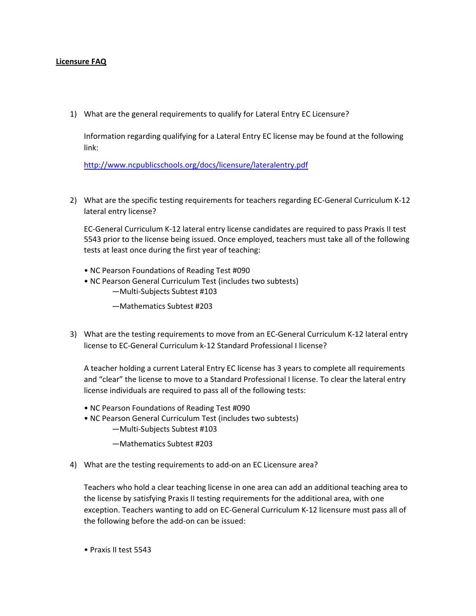## **Licensure FAQ**

1) What are the general requirements to qualify for Lateral Entry EC Licensure?

Information regarding qualifying for a Lateral Entry EC license may be found at the following link:

<http://www.ncpublicschools.org/docs/licensure/lateralentry.pdf>

2) What are the specific testing requirements for teachers regarding EC-General Curriculum K-12 lateral entry license?

EC-General Curriculum K-12 lateral entry license candidates are required to pass Praxis II test 5543 prior to the license being issued. Once employed, teachers must take all of the following tests at least once during the first year of teaching:

- NC Pearson Foundations of Reading Test #090
- NC Pearson General Curriculum Test (includes two subtests) ―Multi-Subjects Subtest #103
	- ―Mathematics Subtest #203
- 3) What are the testing requirements to move from an EC-General Curriculum K-12 lateral entry license to EC-General Curriculum k-12 Standard Professional I license?

A teacher holding a current Lateral Entry EC license has 3 years to complete all requirements and "clear" the license to move to a Standard Professional I license. To clear the lateral entry license individuals are required to pass all of the following tests:

- NC Pearson Foundations of Reading Test #090
- NC Pearson General Curriculum Test (includes two subtests) ―Multi-Subjects Subtest #103
	- ―Mathematics Subtest #203
- 4) What are the testing requirements to add-on an EC Licensure area?

Teachers who hold a clear teaching license in one area can add an additional teaching area to the license by satisfying Praxis II testing requirements for the additional area, with one exception. Teachers wanting to add on EC-General Curriculum K-12 licensure must pass all of the following before the add-on can be issued:

• Praxis II test 5543